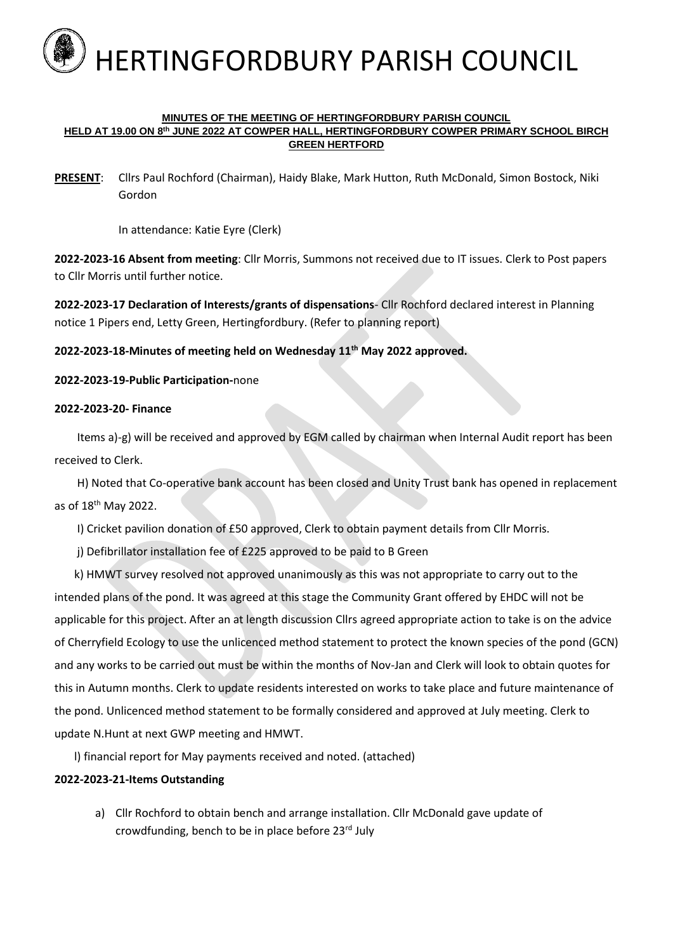

#### **MINUTES OF THE MEETING OF HERTINGFORDBURY PARISH COUNCIL HELD AT 19.00 ON 8 th JUNE 2022 AT COWPER HALL, HERTINGFORDBURY COWPER PRIMARY SCHOOL BIRCH GREEN HERTFORD**

**PRESENT**: Cllrs Paul Rochford (Chairman), Haidy Blake, Mark Hutton, Ruth McDonald, Simon Bostock, Niki Gordon

In attendance: Katie Eyre (Clerk)

**2022-2023-16 Absent from meeting**: Cllr Morris, Summons not received due to IT issues. Clerk to Post papers to Cllr Morris until further notice.

**2022-2023-17 Declaration of Interests/grants of dispensations**- Cllr Rochford declared interest in Planning notice 1 Pipers end, Letty Green, Hertingfordbury. (Refer to planning report)

**2022-2023-18-Minutes of meeting held on Wednesday 11th May 2022 approved.**

**2022-2023-19-Public Participation-**none

#### **2022-2023-20- Finance**

 Items a)-g) will be received and approved by EGM called by chairman when Internal Audit report has been received to Clerk.

 H) Noted that Co-operative bank account has been closed and Unity Trust bank has opened in replacement as of 18th May 2022.

I) Cricket pavilion donation of £50 approved, Clerk to obtain payment details from Cllr Morris.

j) Defibrillator installation fee of £225 approved to be paid to B Green

 k) HMWT survey resolved not approved unanimously as this was not appropriate to carry out to the intended plans of the pond. It was agreed at this stage the Community Grant offered by EHDC will not be applicable for this project. After an at length discussion Cllrs agreed appropriate action to take is on the advice of Cherryfield Ecology to use the unlicenced method statement to protect the known species of the pond (GCN) and any works to be carried out must be within the months of Nov-Jan and Clerk will look to obtain quotes for this in Autumn months. Clerk to update residents interested on works to take place and future maintenance of the pond. Unlicenced method statement to be formally considered and approved at July meeting. Clerk to update N.Hunt at next GWP meeting and HMWT.

l) financial report for May payments received and noted. (attached)

## **2022-2023-21-Items Outstanding**

a) Cllr Rochford to obtain bench and arrange installation. Cllr McDonald gave update of crowdfunding, bench to be in place before 23rd July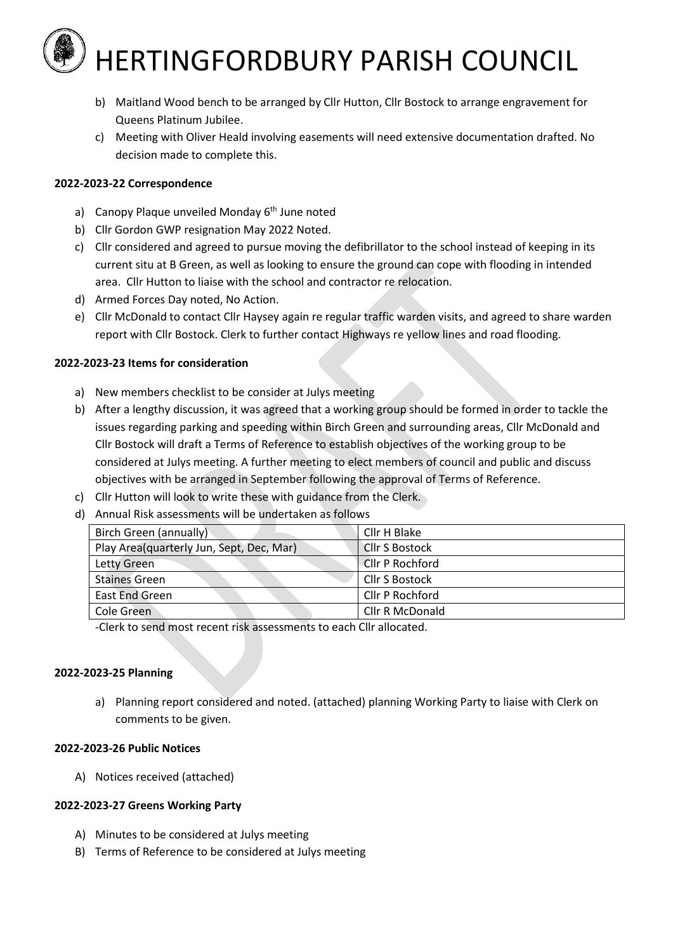# HERTINGFORDBURY PARISH COUNCIL

- b) Maitland Wood bench to be arranged by Cllr Hutton, Cllr Bostock to arrange engravement for Queens Platinum Jubilee.
- c) Meeting with Oliver Heald involving easements will need extensive documentation drafted. No decision made to complete this.

## **2022-2023-22 Correspondence**

- a) Canopy Plaque unveiled Monday  $6<sup>th</sup>$  June noted
- b) Cllr Gordon GWP resignation May 2022 Noted.
- c) Cllr considered and agreed to pursue moving the defibrillator to the school instead of keeping in its current situ at B Green, as well as looking to ensure the ground can cope with flooding in intended area. Cllr Hutton to liaise with the school and contractor re relocation.
- d) Armed Forces Day noted, No Action.
- e) Cllr McDonald to contact Cllr Haysey again re regular traffic warden visits, and agreed to share warden report with Cllr Bostock. Clerk to further contact Highways re yellow lines and road flooding.

## **2022-2023-23 Items for consideration**

- a) New members checklist to be consider at Julys meeting
- b) After a lengthy discussion, it was agreed that a working group should be formed in order to tackle the issues regarding parking and speeding within Birch Green and surrounding areas, Cllr McDonald and Cllr Bostock will draft a Terms of Reference to establish objectives of the working group to be considered at Julys meeting. A further meeting to elect members of council and public and discuss objectives with be arranged in September following the approval of Terms of Reference.
- c) Cllr Hutton will look to write these with guidance from the Clerk.
- d) Annual Risk assessments will be undertaken as follows

| Birch Green (annually)                   | Cllr H Blake          |
|------------------------------------------|-----------------------|
| Play Area(quarterly Jun, Sept, Dec, Mar) | <b>Cllr S Bostock</b> |
| Letty Green                              | Cllr P Rochford       |
| <b>Staines Green</b>                     | <b>Cllr S Bostock</b> |
| East End Green                           | Cllr P Rochford       |
| Cole Green                               | Cllr R McDonald       |

-Clerk to send most recent risk assessments to each Cllr allocated.

#### **2022-2023-25 Planning**

a) Planning report considered and noted. (attached) planning Working Party to liaise with Clerk on comments to be given.

#### **2022-2023-26 Public Notices**

A) Notices received (attached)

## **2022-2023-27 Greens Working Party**

- A) Minutes to be considered at Julys meeting
- B) Terms of Reference to be considered at Julys meeting